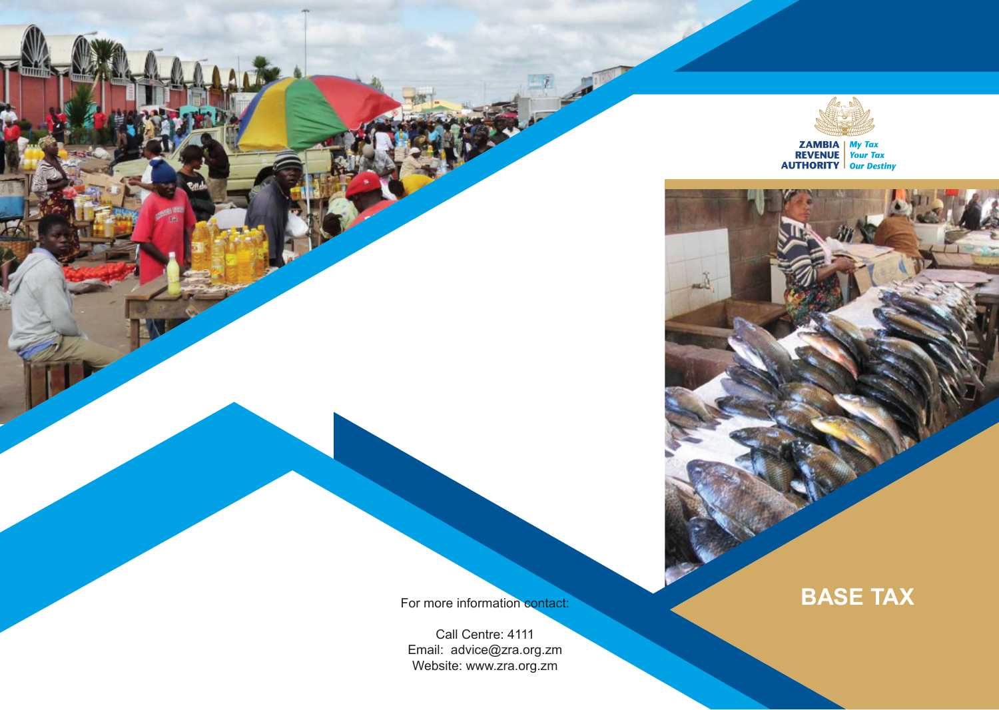

**ZAMBIA** My Tax<br> **REVENUE** Your Tax<br> **AUTHORITY** Our Destiny

Call Centre: 4111 Email: advice@zra.org.zm Website: www.zra.org.zm

For more information contact: **BASE TAX**